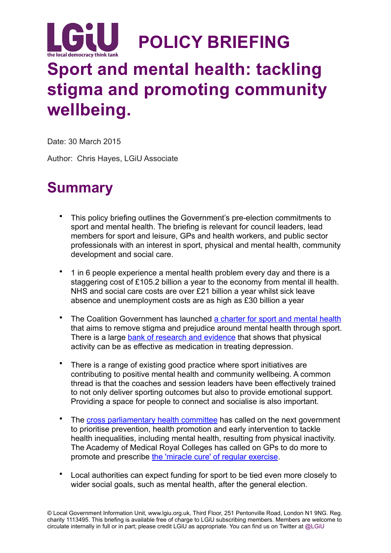

# **Sport and mental health: tackling stigma and promoting community wellbeing.**

Date: 30 March 2015

Author: Chris Hayes, LGiU Associate

## **Summary**

- This policy briefing outlines the Government's pre-election commitments to sport and mental health. The briefing is relevant for council leaders, lead members for sport and leisure, GPs and health workers, and public sector professionals with an interest in sport, physical and mental health, community development and social care.
- 1 in 6 people experience a mental health problem every day and there is a staggering cost of £105.2 billion a year to the economy from mental ill health. NHS and social care costs are over £21 billion a year whilst sick leave absence and unemployment costs are as high as £30 billion a year
- The Coalition Government has launched [a charter for sport and mental health](https://www.gov.uk/government/news/deputy-prime-minister-launches-mental-health-in-sport-initiative) that aims to remove stigma and prejudice around mental health through sport. There is a large [bank of research and evidence](https://www.sportengland.org/research/benefits-of-sport/the-value-of-sport-monitor/psychological-health/) that shows that physical activity can be as effective as medication in treating depression.
- There is a range of existing good practice where sport initiatives are contributing to positive mental health and community wellbeing. A common thread is that the coaches and session leaders have been effectively trained to not only deliver sporting outcomes but also to provide emotional support. Providing a space for people to connect and socialise is also important.
- The [cross parliamentary health committee](http://www.parliament.uk/business/committees/committees-a-z/commons-select/health-committee/news/activity-diet-health-substantive/) has called on the next government to prioritise prevention, health promotion and early intervention to tackle health inequalities, including mental health, resulting from physical inactivity. The Academy of Medical Royal Colleges has called on GPs to do more to promote and prescribe [the 'miracle cure' of regular exercise](http://www.aomrc.org.uk/doc_download/9821-exercise-the-miracle-cure-february-2015.html).
- Local authorities can expect funding for sport to be tied even more closely to wider social goals, such as mental health, after the general election.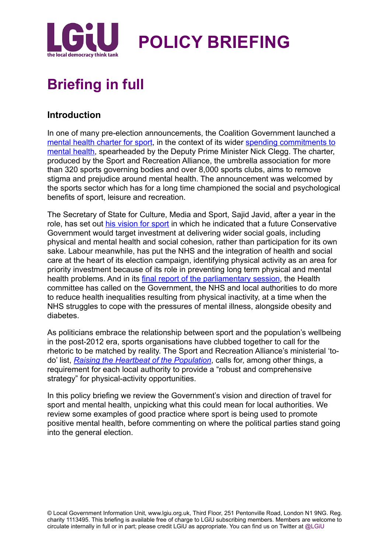

## **Briefing in full**

## **Introduction**

In one of many pre-election announcements, the Coalition Government launched a [mental health charter for sport, in the context of its wider spending commitments to](https://www.gov.uk/government/news/deputy-pm-announces-billion-pound-boost-over-5-years-for-childrens-mental-health-services)  mental health, spearheaded by the Deputy Prime Minister Nick Clegg. The charter, produced by the Sport and Recreation Alliance, the umbrella association for more than 320 sports governing bodies and over 8,000 sports clubs, aims to remove stigma and prejudice around mental health. The announcement was welcomed by the sports sector which has for a long time championed the social and psychological benefits of sport, leisure and recreation.

The Secretary of State for Culture, Media and Sport, Sajid Javid, after a year in the role, has set out [his vision for sport](https://www.gov.uk/government/speeches/secretary-of-state-sports-speech) in which he indicated that a future Conservative Government would target investment at delivering wider social goals, including physical and mental health and social cohesion, rather than participation for its own sake. Labour meanwhile, has put the NHS and the integration of health and social care at the heart of its election campaign, identifying physical activity as an area for priority investment because of its role in preventing long term physical and mental health problems. And in its [final report of the parliamentary session](http://www.publications.parliament.uk/pa/cm201415/cmselect/cmhealth/845/845.pdf), the Health committee has called on the Government, the NHS and local authorities to do more to reduce health inequalities resulting from physical inactivity, at a time when the NHS struggles to cope with the pressures of mental illness, alongside obesity and diabetes.

As politicians embrace the relationship between sport and the population's wellbeing in the post-2012 era, sports organisations have clubbed together to call for the rhetoric to be matched by reality. The Sport and Recreation Alliance's ministerial 'todo' list, *[Raising the Heartbeat of the Population](http://www.sportandrecreation.org.uk/policy/research/ministers-do-list)*, calls for, among other things, a requirement for each local authority to provide a "robust and comprehensive strategy" for physical-activity opportunities.

In this policy briefing we review the Government's vision and direction of travel for sport and mental health, unpicking what this could mean for local authorities. We review some examples of good practice where sport is being used to promote positive mental health, before commenting on where the political parties stand going into the general election.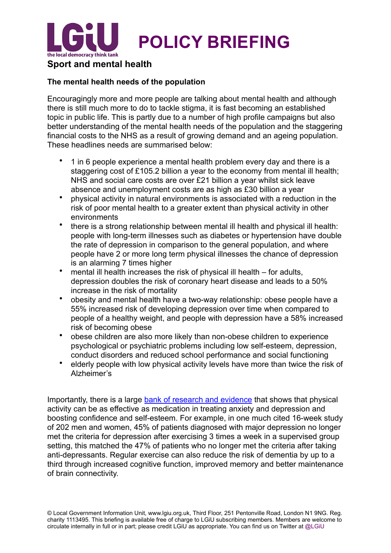

#### **The mental health needs of the population**

Encouragingly more and more people are talking about mental health and although there is still much more to do to tackle stigma, it is fast becoming an established topic in public life. This is partly due to a number of high profile campaigns but also better understanding of the mental health needs of the population and the staggering financial costs to the NHS as a result of growing demand and an ageing population. These headlines needs are summarised below:

- 1 in 6 people experience a mental health problem every day and there is a staggering cost of £105.2 billion a year to the economy from mental ill health; NHS and social care costs are over £21 billion a year whilst sick leave absence and unemployment costs are as high as £30 billion a year
- physical activity in natural environments is associated with a reduction in the risk of poor mental health to a greater extent than physical activity in other environments
- there is a strong relationship between mental ill health and physical ill health: people with long-term illnesses such as diabetes or hypertension have double the rate of depression in comparison to the general population, and where people have 2 or more long term physical illnesses the chance of depression is an alarming 7 times higher
- mental ill health increases the risk of physical ill health for adults, depression doubles the risk of coronary heart disease and leads to a 50% increase in the risk of mortality
- obesity and mental health have a two-way relationship: obese people have a 55% increased risk of developing depression over time when compared to people of a healthy weight, and people with depression have a 58% increased risk of becoming obese
- obese children are also more likely than non-obese children to experience psychological or psychiatric problems including low self-esteem, depression, conduct disorders and reduced school performance and social functioning
- elderly people with low physical activity levels have more than twice the risk of Alzheimer's

Importantly, there is a large [bank of research and evidence](https://www.sportengland.org/research/benefits-of-sport/the-value-of-sport-monitor/psychological-health/) that shows that physical activity can be as effective as medication in treating anxiety and depression and boosting confidence and self-esteem. For example, in one much cited 16-week study of 202 men and women, 45% of patients diagnosed with major depression no longer met the criteria for depression after exercising 3 times a week in a supervised group setting, this matched the 47% of patients who no longer met the criteria after taking anti-depressants. Regular exercise can also reduce the risk of dementia by up to a third through increased cognitive function, improved memory and better maintenance of brain connectivity.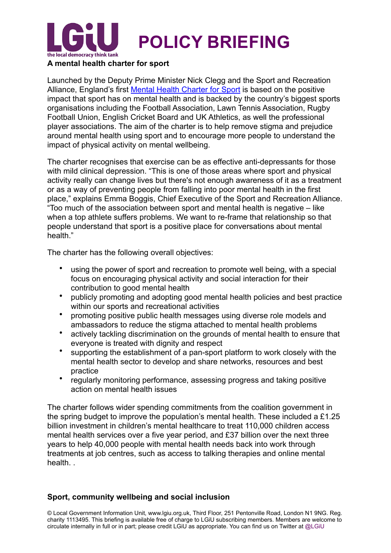

#### **A mental health charter for sport**

Launched by the Deputy Prime Minister Nick Clegg and the Sport and Recreation Alliance, England's first [Mental Health Charter for Sport](http://www.sportandrecreation.org.uk/sites/sportandrecreation.org.uk/files/web/documents/pdf/Mental%2520Health%2520Charter%2520for%2520Sport%2520and%2520Recreation.pdf) is based on the positive impact that sport has on mental health and is backed by the country's biggest sports organisations including the Football Association, Lawn Tennis Association, Rugby Football Union, English Cricket Board and UK Athletics, as well the professional player associations. The aim of the charter is to help remove stigma and prejudice around mental health using sport and to encourage more people to understand the impact of physical activity on mental wellbeing.

The charter recognises that exercise can be as effective anti-depressants for those with mild clinical depression. "This is one of those areas where sport and physical activity really can change lives but there's not enough awareness of it as a treatment or as a way of preventing people from falling into poor mental health in the first place," explains Emma Boggis, Chief Executive of the Sport and Recreation Alliance. "Too much of the association between sport and mental health is negative – like when a top athlete suffers problems. We want to re-frame that relationship so that people understand that sport is a positive place for conversations about mental health."

The charter has the following overall objectives:

- using the power of sport and recreation to promote well being, with a special focus on encouraging physical activity and social interaction for their contribution to good mental health
- publicly promoting and adopting good mental health policies and best practice within our sports and recreational activities
- promoting positive public health messages using diverse role models and ambassadors to reduce the stigma attached to mental health problems
- actively tackling discrimination on the grounds of mental health to ensure that everyone is treated with dignity and respect
- supporting the establishment of a pan-sport platform to work closely with the mental health sector to develop and share networks, resources and best practice
- regularly monitoring performance, assessing progress and taking positive action on mental health issues

The charter follows wider spending commitments from the coalition government in the spring budget to improve the population's mental health. These included a £1.25 billion investment in children's mental healthcare to treat 110,000 children access mental health services over a five year period, and £37 billion over the next three years to help 40,000 people with mental health needs back into work through treatments at job centres, such as access to talking therapies and online mental health. .

#### **Sport, community wellbeing and social inclusion**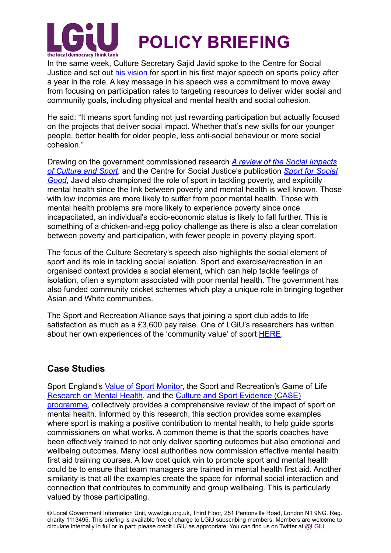

In the same week, Culture Secretary Sajid Javid spoke to the Centre for Social Justice and set out [his vision](https://www.gov.uk/government/speeches/secretary-of-state-sports-speech) for sport in his first major speech on sports policy after a year in the role. A key message in his speech was a commitment to move away from focusing on participation rates to targeting resources to deliver wider social and community goals, including physical and mental health and social cohesion.

He said: "It means sport funding not just rewarding participation but actually focused on the projects that deliver social impact. Whether that's new skills for our younger people, better health for older people, less anti-social behaviour or more social cohesion."

[Drawing on the government commissioned research](https://www.gov.uk/government/uploads/system/uploads/attachment_data/file/416279/A_review_of_the_Social_Impacts_of_Culture_and_Sport.pdf) *A review of the Social Impacts of Culture and Sport*, and the Centre for Social Justice's publication *Sport for Social Good*[, Javid also championed the role of sport in tackling poverty, and explicitly](http://centreforsocialjustice.org.uk/UserStorage/pdf/Pdf%2520reports/CSJJ3207_Sports_Paper_03.15_WEB.pdf)  mental health since the link between poverty and mental health is well known. Those with low incomes are more likely to suffer from poor mental health. Those with mental health problems are more likely to experience poverty since once incapacitated, an individual's socio-economic status is likely to fall further. This is something of a chicken-and-egg policy challenge as there is also a clear correlation between poverty and participation, with fewer people in poverty playing sport.

The focus of the Culture Secretary's speech also highlights the social element of sport and its role in tackling social isolation. Sport and exercise/recreation in an organised context provides a social element, which can help tackle feelings of isolation, often a symptom associated with poor mental health. The government has also funded community cricket schemes which play a unique role in bringing together Asian and White communities.

The Sport and Recreation Alliance says that joining a sport club adds to life satisfaction as much as a £3,600 pay raise. One of LGiU's researchers has written about her own experiences of the 'community value' of sport [HERE.](http://www.lgiu.org.uk/2014/05/07/the-value-of-community-sport/)

## **Case Studies**

Sport England's [Value of Sport Monitor,](https://www.sportengland.org/research/benefits-of-sport/the-value-of-sport-monitor/psychological-health/) the Sport and Recreation's Game of Life [Research on Mental Health, and the Culture and Sport Evidence \(CASE\)](https://www.gov.uk/government/uploads/system/uploads/attachment_data/file/416279/A_review_of_the_Social_Impacts_of_Culture_and_Sport.pdf)  programme, collectively provides a comprehensive review of the impact of sport on mental health. Informed by this research, this section provides some examples where sport is making a positive contribution to mental health, to help guide sports commissioners on what works. A common theme is that the sports coaches have been effectively trained to not only deliver sporting outcomes but also emotional and wellbeing outcomes. Many local authorities now commission effective mental health first aid training courses. A low cost quick win to promote sport and mental health could be to ensure that team managers are trained in mental health first aid. Another similarity is that all the examples create the space for informal social interaction and connection that contributes to community and group wellbeing. This is particularly valued by those participating.

© Local Government Information Unit, www.lgiu.org.uk, Third Floor, 251 Pentonville Road, London N1 9NG. Reg. charity 1113495. This briefing is available free of charge to LGiU subscribing members. Members are welcome to circulate internally in full or in part; please credit LGiU as appropriate. You can find us on Twitter at @LGiU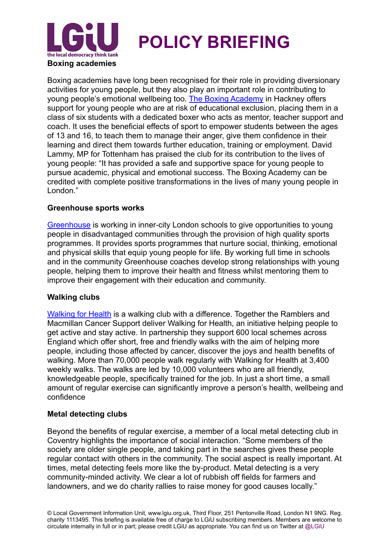

Boxing academies have long been recognised for their role in providing diversionary activities for young people, but they also play an important role in contributing to young people's emotional wellbeing too. [The Boxing Academy](http://www.theboxingacademy.co.uk/) in Hackney offers support for young people who are at risk of educational exclusion, placing them in a class of six students with a dedicated boxer who acts as mentor, teacher support and coach. It uses the beneficial effects of sport to empower students between the ages of 13 and 16, to teach them to manage their anger, give them confidence in their learning and direct them towards further education, training or employment. David Lammy, MP for Tottenham has praised the club for its contribution to the lives of young people: "It has provided a safe and supportive space for young people to pursue academic, physical and emotional success. The Boxing Academy can be credited with complete positive transformations in the lives of many young people in London."

#### **Greenhouse sports works**

[Greenhouse](http://www.greenhousesports.org/) is working in inner-city London schools to give opportunities to young people in disadvantaged communities through the provision of high quality sports programmes. It provides sports programmes that nurture social, thinking, emotional and physical skills that equip young people for life. By working full time in schools and in the community Greenhouse coaches develop strong relationships with young people, helping them to improve their health and fitness whilst mentoring them to improve their engagement with their education and community.

#### **Walking clubs**

[Walking for Health](http://www.walkingforhealth.org.uk/) is a walking club with a difference. Together the Ramblers and Macmillan Cancer Support deliver Walking for Health, an initiative helping people to get active and stay active. In partnership they support 600 local schemes across England which offer short, free and friendly walks with the aim of helping more people, including those affected by cancer, discover the joys and health benefits of walking. More than 70,000 people walk regularly with Walking for Health at 3,400 weekly walks. The walks are led by 10,000 volunteers who are all friendly, knowledgeable people, specifically trained for the job. In just a short time, a small amount of regular exercise can significantly improve a person's health, wellbeing and confidence

#### **Metal detecting clubs**

Beyond the benefits of regular exercise, a member of a local metal detecting club in Coventry highlights the importance of social interaction. "Some members of the society are older single people, and taking part in the searches gives these people regular contact with others in the community. The social aspect is really important. At times, metal detecting feels more like the by-product. Metal detecting is a very community-minded activity. We clear a lot of rubbish off fields for farmers and landowners, and we do charity rallies to raise money for good causes locally."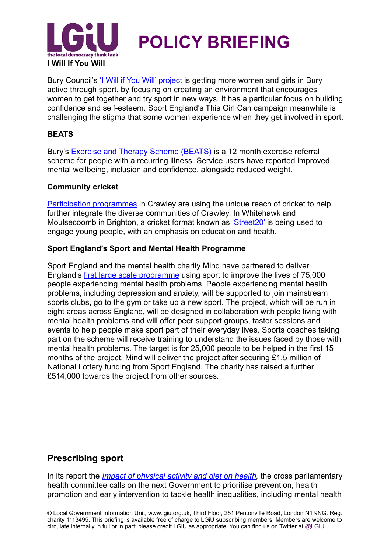

Bury Council's '<u>I Will if You Will' project</u> is getting more women and girls in Bury active through sport, by focusing on creating an environment that encourages women to get together and try sport in new ways. It has a particular focus on building confidence and self-esteem. Sport England's This Girl Can campaign meanwhile is challenging the stigma that some women experience when they get involved in sport.

#### **BEATS**

Bury's [Exercise and Therapy Scheme \(BEATS\)](http://www.bury.gov.uk/index.aspx?articleid=3900) is a 12 month exercise referral scheme for people with a recurring illness. Service users have reported improved mental wellbeing, inclusion and confidence, alongside reduced weight.

#### **Community cricket**

[Participation programmes](http://www.sussexcct.co.uk/) in Crawley are using the unique reach of cricket to help further integrate the diverse communities of Crawley. In Whitehawk and Moulsecoomb in Brighton, a cricket format known as ['Street20'](http://www.sussexcct.co.uk/street20.html) is being used to engage young people, with an emphasis on education and health.

#### **Sport England's Sport and Mental Health Programme**

Sport England and the mental health charity Mind have partnered to deliver England's [first large scale programme](https://www.sportengland.org/media-centre/news/2014/october/17/new-sporting-approach-to-tackling-mental-health/) using sport to improve the lives of 75,000 people experiencing mental health problems. People experiencing mental health problems, including depression and anxiety, will be supported to join mainstream sports clubs, go to the gym or take up a new sport. The project, which will be run in eight areas across England, will be designed in collaboration with people living with mental health problems and will offer peer support groups, taster sessions and events to help people make sport part of their everyday lives. Sports coaches taking part on the scheme will receive training to understand the issues faced by those with mental health problems. The target is for 25,000 people to be helped in the first 15 months of the project. Mind will deliver the project after securing £1.5 million of National Lottery funding from Sport England. The charity has raised a further £514,000 towards the project from other sources.

## **Prescribing sport**

In its report the *[Impact of physical activity and diet on health](http://www.parliament.uk/business/committees/committees-a-z/commons-select/health-committee/news/activity-diet-health-substantive/),* the cross parliamentary health committee calls on the next Government to prioritise prevention, health promotion and early intervention to tackle health inequalities, including mental health

© Local Government Information Unit, www.lgiu.org.uk, Third Floor, 251 Pentonville Road, London N1 9NG. Reg. charity 1113495. This briefing is available free of charge to LGiU subscribing members. Members are welcome to circulate internally in full or in part; please credit LGiU as appropriate. You can find us on Twitter at @LGiU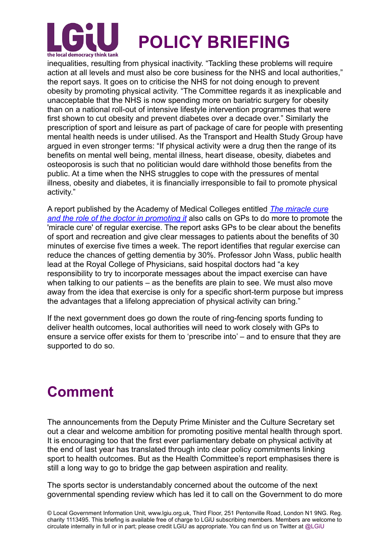

inequalities, resulting from physical inactivity. "Tackling these problems will require action at all levels and must also be core business for the NHS and local authorities," the report says. It goes on to criticise the NHS for not doing enough to prevent obesity by promoting physical activity. "The Committee regards it as inexplicable and unacceptable that the NHS is now spending more on bariatric surgery for obesity than on a national roll-out of intensive lifestyle intervention programmes that were first shown to cut obesity and prevent diabetes over a decade over." Similarly the prescription of sport and leisure as part of package of care for people with presenting mental health needs is under utilised. As the Transport and Health Study Group have argued in even stronger terms: "If physical activity were a drug then the range of its benefits on mental well being, mental illness, heart disease, obesity, diabetes and osteoporosis is such that no politician would dare withhold those benefits from the public. At a time when the NHS struggles to cope with the pressures of mental illness, obesity and diabetes, it is financially irresponsible to fail to promote physical activity."

[A report published by the Academy of Medical Colleges entitled](http://www.aomrc.org.uk/doc_download/9821-exercise-the-miracle-cure-february-2015.html) *The miracle cure and the role of the doctor in promoting it* also calls on GPs to do more to promote the 'miracle cure' of regular exercise. The report asks GPs to be clear about the benefits of sport and recreation and give clear messages to patients about the benefits of 30 minutes of exercise five times a week. The report identifies that regular exercise can reduce the chances of getting dementia by 30%. Professor John Wass, public health lead at the Royal College of Physicians, said hospital doctors had "a key responsibility to try to incorporate messages about the impact exercise can have when talking to our patients – as the benefits are plain to see. We must also move away from the idea that exercise is only for a specific short-term purpose but impress the advantages that a lifelong appreciation of physical activity can bring."

If the next government does go down the route of ring-fencing sports funding to deliver health outcomes, local authorities will need to work closely with GPs to ensure a service offer exists for them to 'prescribe into' – and to ensure that they are supported to do so.

## **Comment**

The announcements from the Deputy Prime Minister and the Culture Secretary set out a clear and welcome ambition for promoting positive mental health through sport. It is encouraging too that the first ever parliamentary debate on physical activity at the end of last year has translated through into clear policy commitments linking sport to health outcomes. But as the Health Committee's report emphasises there is still a long way to go to bridge the gap between aspiration and reality.

The sports sector is understandably concerned about the outcome of the next governmental spending review which has led it to call on the Government to do more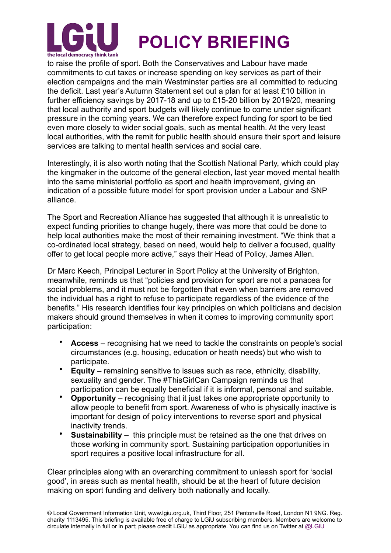

to raise the profile of sport. Both the Conservatives and Labour have made commitments to cut taxes or increase spending on key services as part of their election campaigns and the main Westminster parties are all committed to reducing the deficit. Last year's Autumn Statement set out a plan for at least £10 billion in further efficiency savings by 2017-18 and up to £15-20 billion by 2019/20, meaning that local authority and sport budgets will likely continue to come under significant pressure in the coming years. We can therefore expect funding for sport to be tied even more closely to wider social goals, such as mental health. At the very least local authorities, with the remit for public health should ensure their sport and leisure services are talking to mental health services and social care.

Interestingly, it is also worth noting that the Scottish National Party, which could play the kingmaker in the outcome of the general election, last year moved mental health into the same ministerial portfolio as sport and health improvement, giving an indication of a possible future model for sport provision under a Labour and SNP alliance.

The Sport and Recreation Alliance has suggested that although it is unrealistic to expect funding priorities to change hugely, there was more that could be done to help local authorities make the most of their remaining investment. "We think that a co-ordinated local strategy, based on need, would help to deliver a focused, quality offer to get local people more active," says their Head of Policy, James Allen.

Dr Marc Keech, Principal Lecturer in Sport Policy at the University of Brighton, meanwhile, reminds us that "policies and provision for sport are not a panacea for social problems, and it must not be forgotten that even when barriers are removed the individual has a right to refuse to participate regardless of the evidence of the benefits." His research identifies four key principles on which politicians and decision makers should ground themselves in when it comes to improving community sport participation:

- **Access** recognising hat we need to tackle the constraints on people's social circumstances (e.g. housing, education or heath needs) but who wish to participate.
- **Equity** remaining sensitive to issues such as race, ethnicity, disability, sexuality and gender. The #ThisGirlCan Campaign reminds us that participation can be equally beneficial if it is informal, personal and suitable.
- **Opportunity** recognising that it just takes one appropriate opportunity to allow people to benefit from sport. Awareness of who is physically inactive is important for design of policy interventions to reverse sport and physical inactivity trends.
- **Sustainability** this principle must be retained as the one that drives on those working in community sport. Sustaining participation opportunities in sport requires a positive local infrastructure for all.

Clear principles along with an overarching commitment to unleash sport for 'social good', in areas such as mental health, should be at the heart of future decision making on sport funding and delivery both nationally and locally.